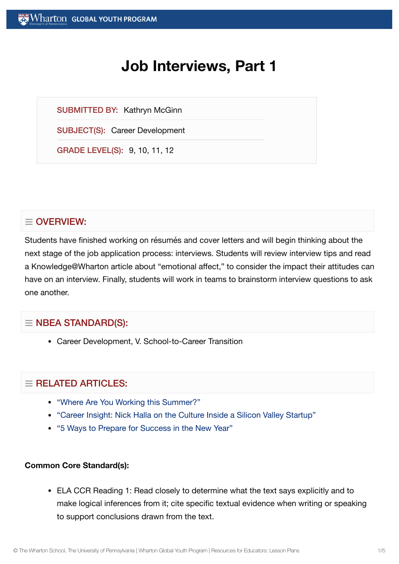# **Job Interviews, Part 1**

SUBMITTED BY: Kathryn McGinn

SUBJECT(S): Career Development

GRADE LEVEL(S): 9, 10, 11, 12

## $\equiv$  OVERVIEW:

Students have finished working on résumés and cover letters and will begin thinking about the next stage of the job application process: interviews. Students will review interview tips and read a Knowledge@Wharton article about "emotional affect," to consider the impact their attitudes can have on an interview. Finally, students will work in teams to brainstorm interview questions to ask one another.

## $\equiv$  NBEA STANDARD(S):

Career Development, V. School-to-Career Transition

## $=$  RELATED ARTICLES:

- "Where Are You Working [this Summer?"](https://globalyouth.wharton.upenn.edu/articles/where-are-you-working-this-summer/)
- "Career Insight: Nick Halla on the Culture Inside a Silicon [Valley Startup"](https://globalyouth.wharton.upenn.edu/articles/career-insight-nick-halla-culture-hiring-inside-silicon-valley-startup/)
- "5 Ways to Prepare for [Success in](https://globalyouth.wharton.upenn.edu/articles/a-new-year-and-new-opportunities-are-you-ready/) the New Year"

#### **Common Core Standard(s):**

ELA CCR Reading 1: Read closely to determine what the text says explicitly and to make logical inferences from it; cite specific textual evidence when writing or speaking to support conclusions drawn from the text.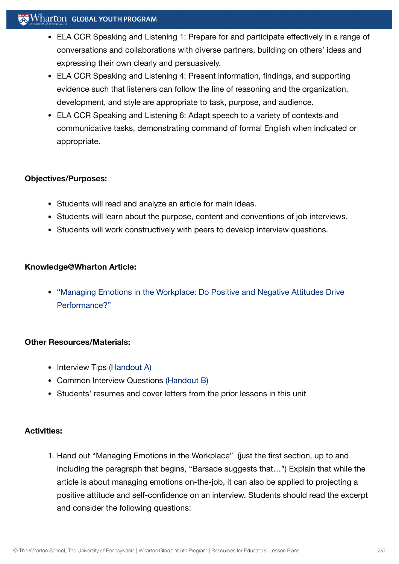## $\mathbf{W}$  Wharton Global youth program

- ELA CCR Speaking and Listening 1: Prepare for and participate effectively in a range of conversations and collaborations with diverse partners, building on others' ideas and expressing their own clearly and persuasively.
- ELA CCR Speaking and Listening 4: Present information, findings, and supporting evidence such that listeners can follow the line of reasoning and the organization, development, and style are appropriate to task, purpose, and audience.
- ELA CCR Speaking and Listening 6: Adapt speech to a variety of contexts and communicative tasks, demonstrating command of formal English when indicated or appropriate.

#### **Objectives/Purposes:**

- Students will read and analyze an article for main ideas.
- Students will learn about the purpose, content and conventions of job interviews.
- Students will work constructively with peers to develop interview questions.

#### **Knowledge@Wharton Article:**

"Managing Emotions in the Workplace: Do Positive and Negative Attitudes Drive [Performance?"](http://knowledge.wharton.upenn.edu/article.cfm?articleid=1708)

## **Other Resources/Materials:**

- Interview Tips [\(Handout](https://globalyouth.wharton.upenn.edu/wp-content/uploads/2012/02/Career-Development-7_HandoutA.pdf) A)
- Common Interview Questions [\(Handout](https://globalyouth.wharton.upenn.edu/wp-content/uploads/2012/02/Career-Development-7_School.handoutB.pdf) B)
- Students' resumes and cover letters from the prior lessons in this unit

#### **Activities:**

1. Hand out "Managing Emotions in the Workplace" (just the first section, up to and including the paragraph that begins, "Barsade suggests that…") Explain that while the article is about managing emotions on-the-job, it can also be applied to projecting a positive attitude and self-confidence on an interview. Students should read the excerpt and consider the following questions: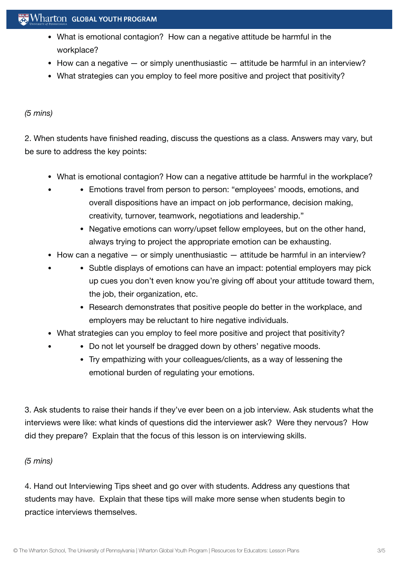## $\mathbb{R}$  Wharton Global youth program

- What is emotional contagion? How can a negative attitude be harmful in the workplace?
- $\bullet$  How can a negative  $-$  or simply unenthusiastic  $-$  attitude be harmful in an interview?
- What strategies can you employ to feel more positive and project that positivity?

#### *(5 mins)*

2. When students have finished reading, discuss the questions as a class. Answers may vary, but be sure to address the key points:

- What is emotional contagion? How can a negative attitude be harmful in the workplace?
	- Emotions travel from person to person: "employees' moods, emotions, and overall dispositions have an impact on job performance, decision making, creativity, turnover, teamwork, negotiations and leadership."
		- Negative emotions can worry/upset fellow employees, but on the other hand, always trying to project the appropriate emotion can be exhausting.
- $\bullet$  How can a negative  $-$  or simply unenthusiastic  $-$  attitude be harmful in an interview?
	- Subtle displays of emotions can have an impact: potential employers may pick up cues you don't even know you're giving off about your attitude toward them, the job, their organization, etc.
		- Research demonstrates that positive people do better in the workplace, and employers may be reluctant to hire negative individuals.
- What strategies can you employ to feel more positive and project that positivity?
	- Do not let yourself be dragged down by others' negative moods.
		- Try empathizing with your colleagues/clients, as a way of lessening the emotional burden of regulating your emotions.

3. Ask students to raise their hands if they've ever been on a job interview. Ask students what the interviews were like: what kinds of questions did the interviewer ask? Were they nervous? How did they prepare? Explain that the focus of this lesson is on interviewing skills.

#### *(5 mins)*

4. Hand out Interviewing Tips sheet and go over with students. Address any questions that students may have. Explain that these tips will make more sense when students begin to practice interviews themselves.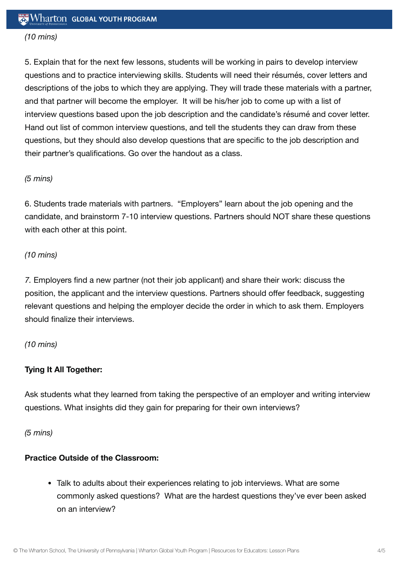## *(10 mins)*

5. Explain that for the next few lessons, students will be working in pairs to develop interview questions and to practice interviewing skills. Students will need their résumés, cover letters and descriptions of the jobs to which they are applying. They will trade these materials with a partner, and that partner will become the employer. It will be his/her job to come up with a list of interview questions based upon the job description and the candidate's résumé and cover letter. Hand out list of common interview questions, and tell the students they can draw from these questions, but they should also develop questions that are specific to the job description and their partner's qualifications. Go over the handout as a class.

## *(5 mins)*

6. Students trade materials with partners. "Employers" learn about the job opening and the candidate, and brainstorm 7-10 interview questions. Partners should NOT share these questions with each other at this point.

## *(10 mins)*

*7.* Employers find a new partner (not their job applicant) and share their work: discuss the position, the applicant and the interview questions. Partners should offer feedback, suggesting relevant questions and helping the employer decide the order in which to ask them. Employers should finalize their interviews.

## *(10 mins)*

## **Tying It All Together:**

Ask students what they learned from taking the perspective of an employer and writing interview questions. What insights did they gain for preparing for their own interviews?

*(5 mins)*

## **Practice Outside of the Classroom:**

Talk to adults about their experiences relating to job interviews. What are some commonly asked questions? What are the hardest questions they've ever been asked on an interview?